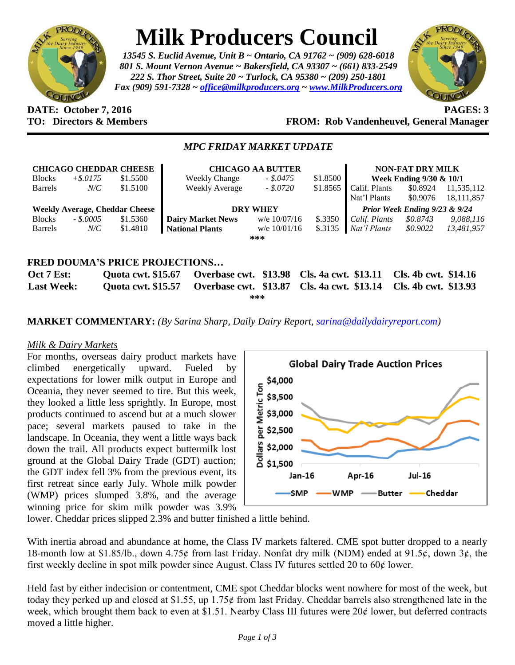

# **Milk Producers Council**

*13545 S. Euclid Avenue, Unit B ~ Ontario, CA 91762 ~ (909) 628-6018 801 S. Mount Vernon Avenue ~ Bakersfield, CA 93307 ~ (661) 833-2549 222 S. Thor Street, Suite 20 ~ Turlock, CA 95380 ~ (209) 250-1801 Fax (909) 591-7328 ~ [office@milkproducers.org](mailto:office@milkproducers.org) ~ [www.MilkProducers.org](http://www.milkproducers.org/)*



#### **DATE: October 7, 2016 PAGES: 3 TO: Directors & Members FROM: Rob Vandenheuvel, General Manager**

### *MPC FRIDAY MARKET UPDATE*

| <b>CHICAGO CHEDDAR CHEESE</b>         |             |                           | <b>CHICAGO AA BUTTER</b>              |                |                      | <b>NON-FAT DRY MILK</b>       |                         |              |
|---------------------------------------|-------------|---------------------------|---------------------------------------|----------------|----------------------|-------------------------------|-------------------------|--------------|
| <b>Blocks</b>                         | $+$ \$.0175 | \$1.5500                  | <b>Weekly Change</b>                  | $-.5.0475$     | \$1.8500             |                               | Week Ending 9/30 & 10/1 |              |
| <b>Barrels</b>                        | $N\!C$      | \$1.5100                  | <b>Weekly Average</b>                 | $-.$ \$.0720   | \$1.8565             | Calif. Plants                 | \$0.8924                | 11,535,112   |
|                                       |             |                           |                                       |                |                      | Nat'l Plants                  | \$0.9076                | 18, 111, 857 |
| <b>Weekly Average, Cheddar Cheese</b> |             |                           | <b>DRY WHEY</b>                       |                |                      | Prior Week Ending 9/23 & 9/24 |                         |              |
| <b>Blocks</b>                         | $-.50005$   | \$1.5360                  | <b>Dairy Market News</b>              | w/e $10/07/16$ | \$.3350              | Calif. Plants                 | \$0.8743                | 9,088,116    |
| <b>Barrels</b>                        | $N\!/\!C$   | \$1.4810                  | <b>National Plants</b>                | w/e $10/01/16$ | \$.3135              | Nat'l Plants                  | \$0.9022                | 13,481,957   |
|                                       |             |                           |                                       | ***            |                      |                               |                         |              |
|                                       |             |                           |                                       |                |                      |                               |                         |              |
|                                       |             |                           | <b>FRED DOUMA'S PRICE PROJECTIONS</b> |                |                      |                               |                         |              |
| Oct 7 Est:                            |             | <b>Quota cwt. \$15.67</b> | Overbase cwt. \$13.98                 |                | Cls. 4a cwt. \$13.11 |                               | Cls. 4b cwt. \$14.16    |              |
| <b>Last Week:</b>                     |             | <b>Quota cwt. \$15.57</b> | Overbase cwt. \$13.87                 |                | Cls. 4a cwt. \$13.14 |                               | Cls. 4b cwt. \$13.93    |              |

**\*\*\***

**MARKET COMMENTARY:** *(By Sarina Sharp, Daily Dairy Report, [sarina@dailydairyreport.com\)](mailto:sarina@dailydairyreport.com)*

## *Milk & Dairy Markets*

For months, overseas dairy product markets have climbed energetically upward. Fueled by expectations for lower milk output in Europe and Oceania, they never seemed to tire. But this week, they looked a little less sprightly. In Europe, most products continued to ascend but at a much slower pace; several markets paused to take in the landscape. In Oceania, they went a little ways back down the trail. All products expect buttermilk lost ground at the Global Dairy Trade (GDT) auction; the GDT index fell 3% from the previous event, its first retreat since early July. Whole milk powder (WMP) prices slumped 3.8%, and the average winning price for skim milk powder was 3.9%



lower. Cheddar prices slipped 2.3% and butter finished a little behind.

With inertia abroad and abundance at home, the Class IV markets faltered. CME spot butter dropped to a nearly 18-month low at \$1.85/lb., down 4.75¢ from last Friday. Nonfat dry milk (NDM) ended at 91.5¢, down 3¢, the first weekly decline in spot milk powder since August. Class IV futures settled 20 to 60¢ lower.

Held fast by either indecision or contentment, CME spot Cheddar blocks went nowhere for most of the week, but today they perked up and closed at \$1.55, up 1.75 $\phi$  from last Friday. Cheddar barrels also strengthened late in the week, which brought them back to even at \$1.51. Nearby Class III futures were  $20¢$  lower, but deferred contracts moved a little higher.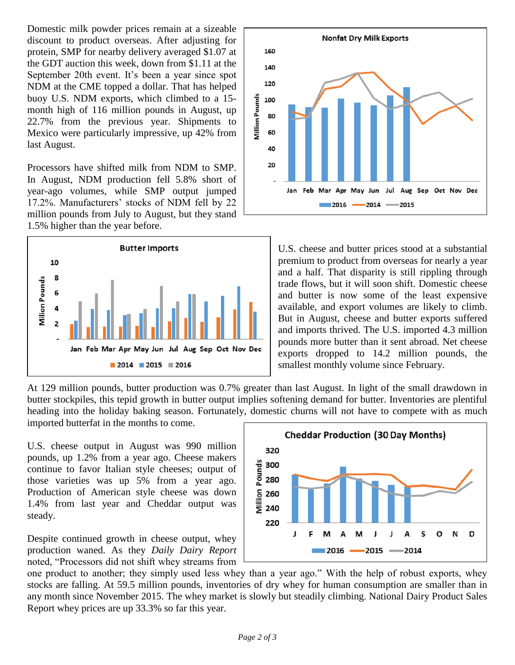Domestic milk powder prices remain at a sizeable discount to product overseas. After adjusting for protein, SMP for nearby delivery averaged \$1.07 at the GDT auction this week, down from \$1.11 at the September 20th event. It's been a year since spot NDM at the CME topped a dollar. That has helped buoy U.S. NDM exports, which climbed to a 15 month high of 116 million pounds in August, up 22.7% from the previous year. Shipments to Mexico were particularly impressive, up 42% from last August.

Processors have shifted milk from NDM to SMP. In August, NDM production fell 5.8% short of year-ago volumes, while SMP output jumped 17.2%. Manufacturers' stocks of NDM fell by 22 million pounds from July to August, but they stand 1.5% higher than the year before.





U.S. cheese and butter prices stood at a substantial premium to product from overseas for nearly a year and a half. That disparity is still rippling through trade flows, but it will soon shift. Domestic cheese and butter is now some of the least expensive available, and export volumes are likely to climb. But in August, cheese and butter exports suffered and imports thrived. The U.S. imported 4.3 million pounds more butter than it sent abroad. Net cheese exports dropped to 14.2 million pounds, the smallest monthly volume since February.

At 129 million pounds, butter production was 0.7% greater than last August. In light of the small drawdown in butter stockpiles, this tepid growth in butter output implies softening demand for butter. Inventories are plentiful heading into the holiday baking season. Fortunately, domestic churns will not have to compete with as much imported butterfat in the months to come.

U.S. cheese output in August was 990 million pounds, up 1.2% from a year ago. Cheese makers continue to favor Italian style cheeses; output of those varieties was up 5% from a year ago. Production of American style cheese was down 1.4% from last year and Cheddar output was steady.

Despite continued growth in cheese output, whey production waned. As they *Daily Dairy Report* noted, "Processors did not shift whey streams from



one product to another; they simply used less whey than a year ago." With the help of robust exports, whey stocks are falling. At 59.5 million pounds, inventories of dry whey for human consumption are smaller than in any month since November 2015. The whey market is slowly but steadily climbing. National Dairy Product Sales Report whey prices are up 33.3% so far this year.